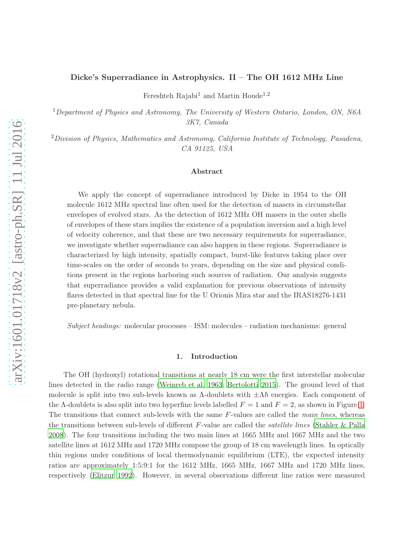# Dicke's Superradiance in Astrophysics. II – The OH 1612 MHz Line

Fereshteh Rajabi<sup>1</sup> and Martin Houde<sup>1,2</sup>

<sup>1</sup>Department of Physics and Astronomy, The University of Western Ontario, London, ON, N6A 3K7, Canada

 $2$ Division of Physics, Mathematics and Astronomy, California Institute of Technology, Pasadena, CA 91125, USA

# Abstract

We apply the concept of superradiance introduced by Dicke in 1954 to the OH molecule 1612 MHz spectral line often used for the detection of masers in circumstellar envelopes of evolved stars. As the detection of 1612 MHz OH masers in the outer shells of envelopes of these stars implies the existence of a population inversion and a high level of velocity coherence, and that these are two necessary requirements for superradiance, we investigate whether superradiance can also happen in these regions. Superradiance is characterized by high intensity, spatially compact, burst-like features taking place over time-scales on the order of seconds to years, depending on the size and physical conditions present in the regions harboring such sources of radiation. Our analysis suggests that superradiance provides a valid explanation for previous observations of intensity flares detected in that spectral line for the U Orionis Mira star and the IRAS18276-1431 pre-planetary nebula.

Subject headings: molecular processes – ISM: molecules – radiation mechanisms: general

# 1. Introduction

The OH (hydroxyl) rotational transitions at nearly 18 cm were the first interstellar molecular lines detected in the radio range [\(Weinreb et al. 1963;](#page-18-0) [Bertolotti 2015](#page-17-0)). The ground level of that molecule is split into two sub-levels known as Λ-doublets with  $\pm\Lambda\hbar$  energies. Each component of the Λ-doublets is also split into two hyperfine levels labelled  $F = 1$  and  $F = 2$ , as shown in Figure [1.](#page-1-0) The transitions that connect sub-levels with the same  $F$ -values are called the *main lines*, whereas the transitions between sub-levels of different F-value are called the satellite lines [\(Stahler & Palla](#page-18-1) [2008\)](#page-18-1). The four transitions including the two main lines at 1665 MHz and 1667 MHz and the two satellite lines at 1612 MHz and 1720 MHz compose the group of 18 cm wavelength lines. In optically thin regions under conditions of local thermodynamic equilibrium (LTE), the expected intensity ratios are approximately 1:5:9:1 for the 1612 MHz, 1665 MHz, 1667 MHz and 1720 MHz lines, respectively [\(Elitzur 1992](#page-17-1)). However, in several observations different line ratios were measured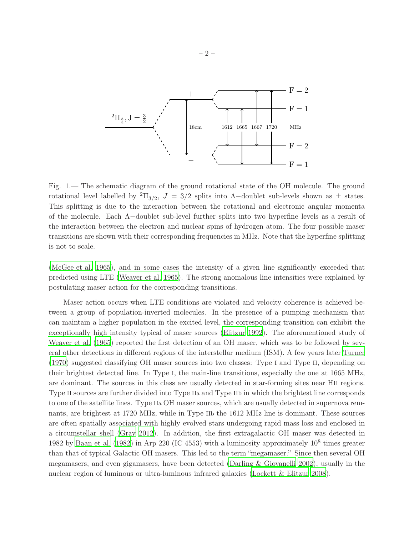

<span id="page-1-0"></span>Fig. 1.— The schematic diagram of the ground rotational state of the OH molecule. The ground rotational level labelled by  ${}^{2}$  $\Pi_{3/2}$ ,  $J = 3/2$  splits into  $\Lambda$ -doublet sub-levels shown as  $\pm$  states. This splitting is due to the interaction between the rotational and electronic angular momenta of the molecule. Each Λ−doublet sub-level further splits into two hyperfine levels as a result of the interaction between the electron and nuclear spins of hydrogen atom. The four possible maser transitions are shown with their corresponding frequencies in MHz. Note that the hyperfine splitting is not to scale.

[\(McGee et al. 1965](#page-18-2)), and in some cases the intensity of a given line significantly exceeded that predicted using LTE [\(Weaver et al. 1965\)](#page-18-3). The strong anomalous line intensities were explained by postulating maser action for the corresponding transitions.

Maser action occurs when LTE conditions are violated and velocity coherence is achieved between a group of population-inverted molecules. In the presence of a pumping mechanism that can maintain a higher population in the excited level, the corresponding transition can exhibit the exceptionally high intensity typical of maser sources [\(Elitzur 1992](#page-17-1)). The aforementioned study of [Weaver et al. \(1965\)](#page-18-3) reported the first detection of an OH maser, which was to be followed by several other detections in different regions of the interstellar medium (ISM). A few years later [Turner](#page-18-4) [\(1970\)](#page-18-4) suggested classifying OH maser sources into two classes: Type I and Type II, depending on their brightest detected line. In Type I, the main-line transitions, especially the one at 1665 MHz, are dominant. The sources in this class are usually detected in star-forming sites near HII regions. Type II sources are further divided into Type IIa and Type IIb in which the brightest line corresponds to one of the satellite lines. Type IIa OH maser sources, which are usually detected in supernova remnants, are brightest at 1720 MHz, while in Type IIb the 1612 MHz line is dominant. These sources are often spatially associated with highly evolved stars undergoing rapid mass loss and enclosed in a circumstellar shell [\(Gray 2012](#page-17-2)). In addition, the first extragalactic OH maser was detected in 1982 by [Baan et al. \(1982](#page-17-3)) in Arp 220 (IC 4553) with a luminosity approximately  $10^8$  times greater than that of typical Galactic OH masers. This led to the term "megamaser." Since then several OH megamasers, and even gigamasers, have been detected [\(Darling & Giovanelli 2002](#page-17-4)), usually in the nuclear region of luminous or ultra-luminous infrared galaxies [\(Lockett & Elitzur 2008](#page-18-5)).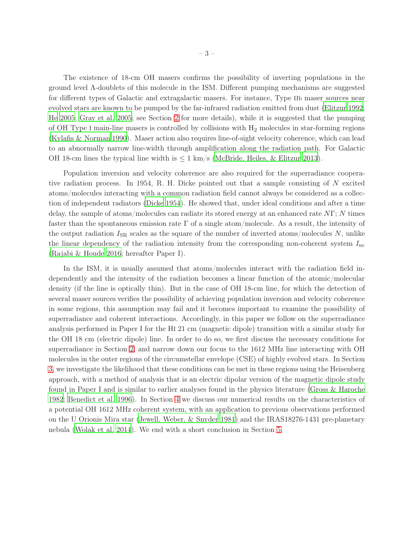The existence of 18-cm OH masers confirms the possibility of inverting populations in the ground level Λ-doublets of this molecule in the ISM. Different pumping mechanisms are suggested for different types of Galactic and extragalactic masers. For instance, Type IIb maser sources near evolved stars are known to be pumped by the far-infrared radiation emitted from dust [\(Elitzur 1992;](#page-17-1) [He 2005;](#page-18-6) [Gray et al. 2005;](#page-17-5) see Section [2](#page-3-0) for more details), while it is suggested that the pumping of OH Type I main-line masers is controlled by collisions with  $H_2$  molecules in star-forming regions [\(Kylafis & Norman 1990](#page-18-7)). Maser action also requires line-of-sight velocity coherence, which can lead to an abnormally narrow line-width through amplification along the radiation path. For Galactic OH 18-cm lines the typical line width is  $\leq 1$  km/s [\(McBride, Heiles, & Elitzur 2013\)](#page-18-8).

Population inversion and velocity coherence are also required for the superradiance cooperative radiation process. In 1954, R. H. Dicke pointed out that a sample consisting of N excited atoms/molecules interacting with a common radiation field cannot always be considered as a collection of independent radiators [\(Dicke 1954\)](#page-17-6). He showed that, under ideal conditions and after a time delay, the sample of atoms/molecules can radiate its stored energy at an enhanced rate NΓ; N times faster than the spontaneous emission rate  $\Gamma$  of a single atom/molecule. As a result, the intensity of the output radiation  $I_{SR}$  scales as the square of the number of inverted atoms/molecules N, unlike the linear dependency of the radiation intensity from the corresponding non-coherent system  $I_{\text{nc}}$ [\(Rajabi & Houde 2016](#page-18-9); hereafter Paper I).

In the ISM, it is usually assumed that atoms/molecules interact with the radiation field independently and the intensity of the radiation becomes a linear function of the atomic/molecular density (if the line is optically thin). But in the case of OH 18-cm line, for which the detection of several maser sources verifies the possibility of achieving population inversion and velocity coherence in some regions, this assumption may fail and it becomes important to examine the possibility of superradiance and coherent interactions. Accordingly, in this paper we follow on the superradiance analysis performed in Paper I for the HI 21 cm (magnetic dipole) transition with a similar study for the OH 18 cm (electric dipole) line. In order to do so, we first discuss the necessary conditions for superradiance in Section [2,](#page-3-0) and narrow down our focus to the 1612 MHz line interacting with OH molecules in the outer regions of the circumstellar envelope (CSE) of highly evolved stars. In Section [3,](#page-7-0) we investigate the likelihood that these conditions can be met in these regions using the Heisenberg approach, with a method of analysis that is an electric dipolar version of the magnetic dipole study found in Paper I and is similar to earlier analyses found in the physics literature [\(Gross & Haroche](#page-17-7) [1982;](#page-17-7) [Benedict et al. 1996](#page-17-8)). In Section [4](#page-10-0) we discuss our numerical results on the characteristics of a potential OH 1612 MHz coherent system, with an application to previous observations performed on the U Orionis Mira star [\(Jewell, Weber, & Snyder 1981\)](#page-18-10) and the IRAS18276-1431 pre-planetary nebula [\(Wolak et al. 2014](#page-19-0)). We end with a short conclusion in Section [5.](#page-16-0)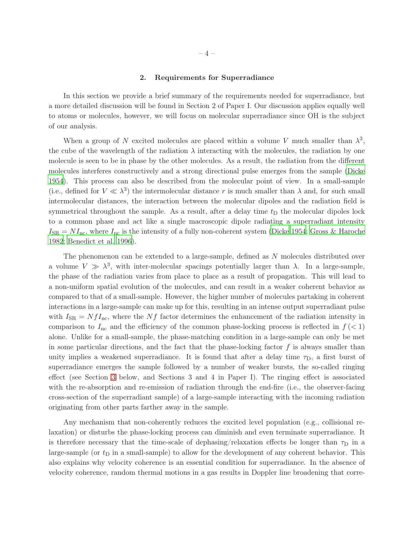## 2. Requirements for Superradiance

<span id="page-3-0"></span>In this section we provide a brief summary of the requirements needed for superradiance, but a more detailed discussion will be found in Section 2 of Paper I. Our discussion applies equally well to atoms or molecules, however, we will focus on molecular superradiance since OH is the subject of our analysis.

When a group of N excited molecules are placed within a volume V much smaller than  $\lambda^3$ , the cube of the wavelength of the radiation  $\lambda$  interacting with the molecules, the radiation by one molecule is seen to be in phase by the other molecules. As a result, the radiation from the different molecules interferes constructively and a strong directional pulse emerges from the sample [\(Dicke](#page-17-6) [1954\)](#page-17-6). This process can also be described from the molecular point of view. In a small-sample (i.e., defined for  $V \ll \lambda^3$ ) the intermolecular distance r is much smaller than  $\lambda$  and, for such small intermolecular distances, the interaction between the molecular dipoles and the radiation field is symmetrical throughout the sample. As a result, after a delay time  $t_D$  the molecular dipoles lock to a common phase and act like a single macroscopic dipole radiating a superradiant intensity  $I_{\rm SR} = NI_{\rm nc}$ , where  $I_{\rm nc}$  is the intensity of a fully non-coherent system [\(Dicke 1954;](#page-17-6) [Gross & Haroche](#page-17-7) [1982;](#page-17-7) [Benedict et al. 1996\)](#page-17-8).

The phenomenon can be extended to a large-sample, defined as N molecules distributed over a volume  $V \gg \lambda^3$ , with inter-molecular spacings potentially larger than  $\lambda$ . In a large-sample, the phase of the radiation varies from place to place as a result of propagation. This will lead to a non-uniform spatial evolution of the molecules, and can result in a weaker coherent behavior as compared to that of a small-sample. However, the higher number of molecules partaking in coherent interactions in a large-sample can make up for this, resulting in an intense output superradiant pulse with  $I_{SR} = NfI_{nc}$ , where the Nf factor determines the enhancement of the radiation intensity in comparison to  $I_{nc}$  and the efficiency of the common phase-locking process is reflected in  $f \leq 1$ alone. Unlike for a small-sample, the phase-matching condition in a large-sample can only be met in some particular directions, and the fact that the phase-locking factor  $f$  is always smaller than unity implies a weakened superradiance. It is found that after a delay time  $\tau_D$ , a first burst of superradiance emerges the sample followed by a number of weaker bursts, the so-called ringing effect (see Section [3](#page-7-0) below, and Sections 3 and 4 in Paper I). The ringing effect is associated with the re-absorption and re-emission of radiation through the end-fire (i.e., the observer-facing cross-section of the superradiant sample) of a large-sample interacting with the incoming radiation originating from other parts farther away in the sample.

Any mechanism that non-coherently reduces the excited level population (e.g., collisional relaxation) or disturbs the phase-locking process can diminish and even terminate superradiance. It is therefore necessary that the time-scale of dephasing/relaxation effects be longer than  $\tau_D$  in a large-sample (or  $t_D$  in a small-sample) to allow for the development of any coherent behavior. This also explains why velocity coherence is an essential condition for superradiance. In the absence of velocity coherence, random thermal motions in a gas results in Doppler line broadening that corre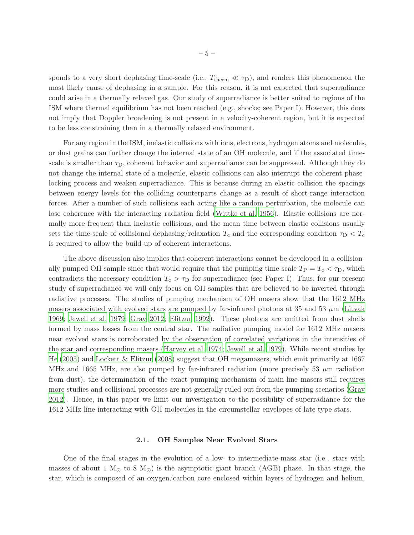sponds to a very short dephasing time-scale (i.e.,  $T_{\text{therm}} \ll \tau_{\text{D}}$ ), and renders this phenomenon the most likely cause of dephasing in a sample. For this reason, it is not expected that superradiance could arise in a thermally relaxed gas. Our study of superradiance is better suited to regions of the ISM where thermal equilibrium has not been reached (e.g., shocks; see Paper I). However, this does not imply that Doppler broadening is not present in a velocity-coherent region, but it is expected to be less constraining than in a thermally relaxed environment.

For any region in the ISM, inelastic collisions with ions, electrons, hydrogen atoms and molecules, or dust grains can further change the internal state of an OH molecule, and if the associated timescale is smaller than  $\tau_D$ , coherent behavior and superradiance can be suppressed. Although they do not change the internal state of a molecule, elastic collisions can also interrupt the coherent phaselocking process and weaken superradiance. This is because during an elastic collision the spacings between energy levels for the colliding counterparts change as a result of short-range interaction forces. After a number of such collisions each acting like a random perturbation, the molecule can lose coherence with the interacting radiation field [\(Wittke](#page-18-11) et al. [1956](#page-18-11)). Elastic collisions are normally more frequent than inelastic collisions, and the mean time between elastic collisions usually sets the time-scale of collisional dephasing/relaxation  $T_c$  and the corresponding condition  $\tau_D < T_c$ is required to allow the build-up of coherent interactions.

The above discussion also implies that coherent interactions cannot be developed in a collisionally pumped OH sample since that would require that the pumping time-scale  $T_{\rm P} = T_{\rm c} < \tau_{\rm D}$ , which contradicts the necessary condition  $T_c > \tau_D$  for superradiance (see Paper I). Thus, for our present study of superradiance we will only focus on OH samples that are believed to be inverted through radiative processes. The studies of pumping mechanism of OH masers show that the 1612 MHz masers associated with evolved stars are pumped by far-infrared photons at 35 and 53  $\mu$ m [\(Litvak](#page-18-12) [1969;](#page-18-12) [Jewell et al. 1979;](#page-18-13) [Gray 2012;](#page-17-2) [Elitzur 1992](#page-17-1)). These photons are emitted from dust shells formed by mass losses from the central star. The radiative pumping model for 1612 MHz masers near evolved stars is corroborated by the observation of correlated variations in the intensities of the star and corresponding masers [\(Harvey et al. 1974;](#page-18-14) [Jewell et al. 1979\)](#page-18-13). While recent studies by [He \(2005\)](#page-18-6) and [Lockett & Elitzur \(2008](#page-18-5)) suggest that OH megamasers, which emit primarily at 1667 MHz and 1665 MHz, are also pumped by far-infrared radiation (more precisely 53  $\mu$ m radiation from dust), the determination of the exact pumping mechanism of main-line masers still requires more studies and collisional processes are not generally ruled out from the pumping scenarios [\(Gray](#page-17-2) [2012\)](#page-17-2). Hence, in this paper we limit our investigation to the possibility of superradiance for the 1612 MHz line interacting with OH molecules in the circumstellar envelopes of late-type stars.

## 2.1. OH Samples Near Evolved Stars

<span id="page-4-0"></span>One of the final stages in the evolution of a low- to intermediate-mass star (i.e., stars with masses of about 1  $M_{\odot}$  to 8  $M_{\odot}$ ) is the asymptotic giant branch (AGB) phase. In that stage, the star, which is composed of an oxygen/carbon core enclosed within layers of hydrogen and helium,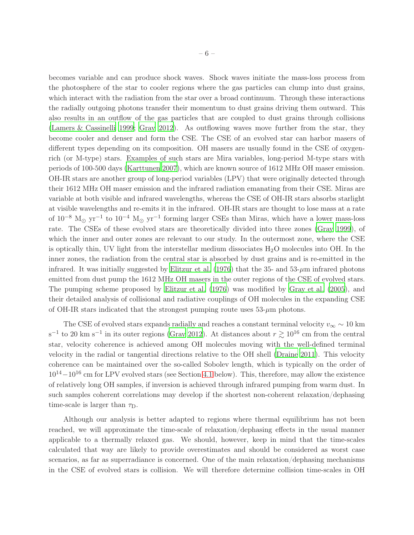becomes variable and can produce shock waves. Shock waves initiate the mass-loss process from the photosphere of the star to cooler regions where the gas particles can clump into dust grains, which interact with the radiation from the star over a broad continuum. Through these interactions the radially outgoing photons transfer their momentum to dust grains driving them outward. This also results in an outflow of the gas particles that are coupled to dust grains through collisions [\(Lamers & Cassinelli 1999;](#page-18-15) [Gray 2012\)](#page-17-2). As outflowing waves move further from the star, they become cooler and denser and form the CSE. The CSE of an evolved star can harbor masers of different types depending on its composition. OH masers are usually found in the CSE of oxygenrich (or M-type) stars. Examples of such stars are Mira variables, long-period M-type stars with periods of 100-500 days [\(Karttunen 2007\)](#page-18-16), which are known source of 1612 MHz OH maser emission. OH-IR stars are another group of long-period variables (LPV) that were originally detected through their 1612 MHz OH maser emission and the infrared radiation emanating from their CSE. Miras are variable at both visible and infrared wavelengths, whereas the CSE of OH-IR stars absorbs starlight at visible wavelengths and re-emits it in the infrared. OH-IR stars are thought to lose mass at a rate of  $10^{-8}$  M<sub> $\odot$ </sub> yr<sup>-1</sup> to  $10^{-4}$  M<sub> $\odot$ </sub> yr<sup>-1</sup> forming larger CSEs than Miras, which have a lower mass-loss rate. The CSEs of these evolved stars are theoretically divided into three zones [\(Gray 1999](#page-17-9)), of which the inner and outer zones are relevant to our study. In the outermost zone, where the CSE is optically thin, UV light from the interstellar medium dissociates  $H_2O$  molecules into OH. In the inner zones, the radiation from the central star is absorbed by dust grains and is re-emitted in the infrared. It was initially suggested by [Elitzur et al. \(1976](#page-17-10)) that the 35- and 53- $\mu$ m infrared photons emitted from dust pump the 1612 MHz OH masers in the outer regions of the CSE of evolved stars. The pumping scheme proposed by [Elitzur et al. \(1976](#page-17-10)) was modified by [Gray et al. \(2005](#page-17-5)), and their detailed analysis of collisional and radiative couplings of OH molecules in the expanding CSE of OH-IR stars indicated that the strongest pumping route uses  $53-\mu m$  photons.

The CSE of evolved stars expands radially and reaches a constant terminal velocity  $v_{\infty} \sim 10 \text{ km}$ s<sup>-1</sup> to 20 km s<sup>-1</sup> in its outer regions [\(Gray 2012\)](#page-17-2). At distances about  $r \gtrsim 10^{16}$  cm from the central star, velocity coherence is achieved among OH molecules moving with the well-defined terminal velocity in the radial or tangential directions relative to the OH shell [\(Draine 2011](#page-17-11)). This velocity coherence can be maintained over the so-called Sobolev length, which is typically on the order of  $10^{14}-10^{16}$  cm for LPV evolved stars (see Section [4.1](#page-12-0) below). This, therefore, may allow the existence of relatively long OH samples, if inversion is achieved through infrared pumping from warm dust. In such samples coherent correlations may develop if the shortest non-coherent relaxation/dephasing time-scale is larger than  $\tau_{D}$ .

Although our analysis is better adapted to regions where thermal equilibrium has not been reached, we will approximate the time-scale of relaxation/dephasing effects in the usual manner applicable to a thermally relaxed gas. We should, however, keep in mind that the time-scales calculated that way are likely to provide overestimates and should be considered as worst case scenarios, as far as superradiance is concerned. One of the main relaxation/dephasing mechanisms in the CSE of evolved stars is collision. We will therefore determine collision time-scales in OH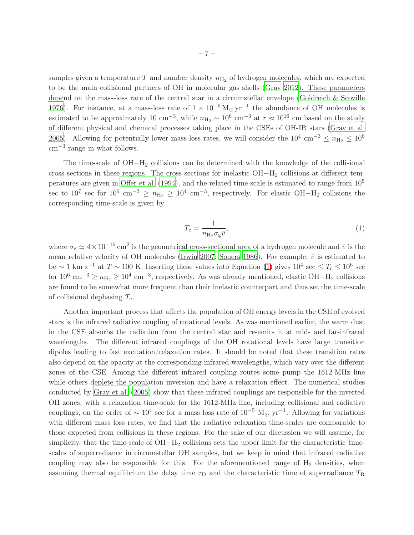samples given a temperature T and number density  $n_{\rm H_2}$  of hydrogen molecules, which are expected to be the main collisional partners of OH in molecular gas shells [\(Gray 2012\)](#page-17-2). These parameters depend on the mass-loss rate of the central star in a circumstellar envelope [\(Goldreich & Scoville](#page-17-12) [1976\)](#page-17-12). For instance, at a mass-loss rate of  $1 \times 10^{-5}$  M<sub>☉</sub> yr<sup>-1</sup> the abundance of OH molecules is estimated to be approximately 10 cm<sup>-3</sup>, while  $n_{\rm H_2} \sim 10^6$  cm<sup>-3</sup> at  $r \approx 10^{16}$  cm based on the study of different physical and chemical processes taking place in the CSEs of OH-IR stars [\(Gray et al.](#page-17-5) [2005\)](#page-17-5). Allowing for potentially lower mass-loss rates, we will consider the  $10^4 \text{ cm}^{-3} \le n_{\text{H}_2} \le 10^6$ cm−<sup>3</sup> range in what follows.

The time-scale of  $OH-H_2$  collisions can be determined with the knowledge of the collisional cross sections in these regions. The cross sections for inelastic OH−H<sup>2</sup> collisions at different tem-peratures are given in [Offer et al. \(1994](#page-18-17)), and the related time-scale is estimated to range from  $10^5$ sec to 10<sup>7</sup> sec for 10<sup>6</sup> cm<sup>-3</sup>  $\ge n_{\text{H}_2} \ge 10^4$  cm<sup>-3</sup>, respectively. For elastic OH-H<sub>2</sub> collisions the corresponding time-scale is given by

<span id="page-6-0"></span>
$$
T_{\rm c} = \frac{1}{n_{\rm H_2} \sigma_{\rm g} \bar{v}},\tag{1}
$$

where  $\sigma_{\rm g} \simeq 4 \times 10^{-16} \text{ cm}^2$  is the geometrical cross-sectional area of a hydrogen molecule and  $\bar{v}$  is the mean relative velocity of OH molecules [\(Irwin 2007;](#page-18-18) [Souers 1986](#page-18-19)). For example,  $\bar{v}$  is estimated to be ~ 1 km s<sup>-1</sup> at  $T \sim 100$  K. Inserting these values into Equation [\(1\)](#page-6-0) gives  $10^4$  sec  $\leq T_c \leq 10^6$  sec for  $10^6 \text{ cm}^{-3} \ge n_{\text{H}_2} \ge 10^4 \text{ cm}^{-3}$ , respectively. As was already mentioned, elastic OH–H<sub>2</sub> collisions are found to be somewhat more frequent than their inelastic counterpart and thus set the time-scale of collisional dephasing  $T_c$ .

Another important process that affects the population of OH energy levels in the CSE of evolved stars is the infrared radiative coupling of rotational levels. As was mentioned earlier, the warm dust in the CSE absorbs the radiation from the central star and re-emits it at mid- and far-infrared wavelengths. The different infrared couplings of the OH rotational levels have large transition dipoles leading to fast excitation/relaxation rates. It should be noted that these transition rates also depend on the opacity at the corresponding infrared wavelengths, which vary over the different zones of the CSE. Among the different infrared coupling routes some pump the 1612-MHz line while others deplete the population inversion and have a relaxation effect. The numerical studies conducted by [Gray et al. \(2005](#page-17-5)) show that these infrared couplings are responsible for the inverted OH zones, with a relaxation time-scale for the 1612-MHz line, including collisional and radiative couplings, on the order of  $\sim 10^4$  sec for a mass loss rate of  $10^{-5}$  M<sub>☉</sub> yr<sup>-1</sup>. Allowing for variations with different mass loss rates, we find that the radiative relaxation time-scales are comparable to those expected from collisions in these regions. For the sake of our discussion we will assume, for simplicity, that the time-scale of OH−H<sup>2</sup> collisions sets the upper limit for the characteristic timescales of superradiance in circumstellar OH samples, but we keep in mind that infrared radiative coupling may also be responsible for this. For the aforementioned range of  $H_2$  densities, when assuming thermal equilibrium the delay time  $\tau_D$  and the characteristic time of superradiance  $T_R$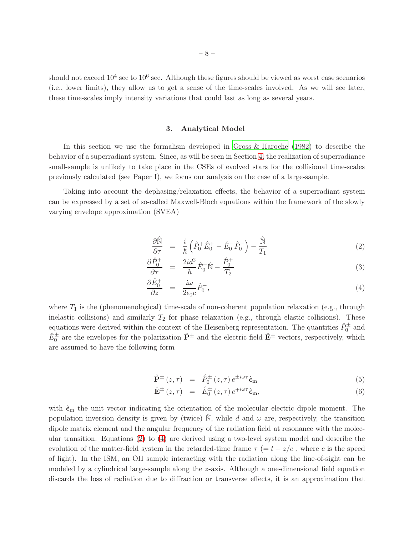should not exceed  $10^4$  sec to  $10^6$  sec. Although these figures should be viewed as worst case scenarios (i.e., lower limits), they allow us to get a sense of the time-scales involved. As we will see later, these time-scales imply intensity variations that could last as long as several years.

#### 3. Analytical Model

<span id="page-7-0"></span>In this section we use the formalism developed in [Gross & Haroche \(1982](#page-17-7)) to describe the behavior of a superradiant system. Since, as will be seen in Section [4,](#page-10-0) the realization of superradiance small-sample is unlikely to take place in the CSEs of evolved stars for the collisional time-scales previously calculated (see Paper I), we focus our analysis on the case of a large-sample.

Taking into account the dephasing/relaxation effects, the behavior of a superradiant system can be expressed by a set of so-called Maxwell-Bloch equations within the framework of the slowly varying envelope approximation (SVEA)

<span id="page-7-1"></span>
$$
\frac{\partial \hat{\mathbb{N}}}{\partial \tau} = \frac{i}{\hbar} \left( \hat{P}_0^+ \hat{E}_0^+ - \hat{E}_0^- \hat{P}_0^- \right) - \frac{\hat{\mathbb{N}}}{T_1} \tag{2}
$$

$$
\frac{\partial \hat{P}_0^+}{\partial \tau} = \frac{2id^2}{\hbar} \hat{E}_0^- \hat{\mathbb{N}} - \frac{\hat{P}_0^+}{T_2} \tag{3}
$$

$$
\frac{\partial \hat{E}_0^+}{\partial z} = \frac{i\omega}{2\epsilon_0 c} \hat{P}_0^-, \tag{4}
$$

where  $T_1$  is the (phenomenological) time-scale of non-coherent population relaxation (e.g., through inelastic collisions) and similarly  $T_2$  for phase relaxation (e.g., through elastic collisions). These equations were derived within the context of the Heisenberg representation. The quantities  $\hat{P}_0^{\pm}$  and  $\hat{E}_0^{\pm}$  are the envelopes for the polarization  $\hat{P}^{\pm}$  and the electric field  $\hat{E}^{\pm}$  vectors, respectively, which are assumed to have the following form

$$
\hat{\mathbf{P}}^{\pm}(z,\tau) = \hat{P}_0^{\pm}(z,\tau) e^{\pm i\omega\tau} \hat{\boldsymbol{\epsilon}}_{\rm m}
$$
 (5)

$$
\hat{\mathbf{E}}^{\pm}(z,\tau) = \hat{E}_0^{\pm}(z,\tau) e^{\mp i\omega\tau} \hat{\boldsymbol{\epsilon}}_{\mathbf{m}}, \tag{6}
$$

with  $\hat{\epsilon}_{m}$  the unit vector indicating the orientation of the molecular electric dipole moment. The population inversion density is given by (twice)  $\hat{N}$ , while d and  $\omega$  are, respectively, the transition dipole matrix element and the angular frequency of the radiation field at resonance with the molecular transition. Equations [\(2\)](#page-7-1) to [\(4\)](#page-7-1) are derived using a two-level system model and describe the evolution of the matter-field system in the retarded-time frame  $\tau$  (=  $t - z/c$ , where c is the speed of light). In the ISM, an OH sample interacting with the radiation along the line-of-sight can be modeled by a cylindrical large-sample along the z-axis. Although a one-dimensional field equation discards the loss of radiation due to diffraction or transverse effects, it is an approximation that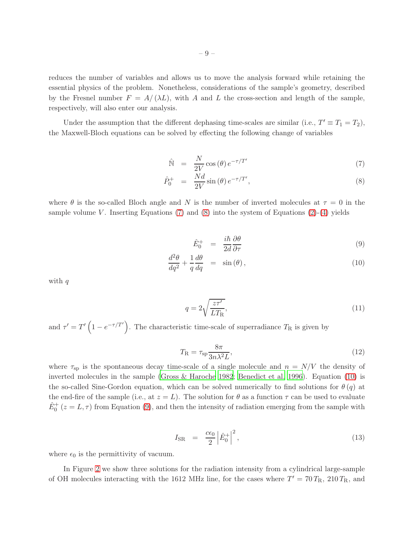reduces the number of variables and allows us to move the analysis forward while retaining the essential physics of the problem. Nonetheless, considerations of the sample's geometry, described by the Fresnel number  $F = A/(\lambda L)$ , with A and L the cross-section and length of the sample, respectively, will also enter our analysis.

Under the assumption that the different dephasing time-scales are similar (i.e.,  $T' \equiv T_1 = T_2$ ), the Maxwell-Bloch equations can be solved by effecting the following change of variables

<span id="page-8-0"></span>
$$
\hat{\mathbb{N}} = \frac{N}{2V} \cos(\theta) e^{-\tau/T'} \tag{7}
$$

$$
\hat{P}_0^+ = \frac{Nd}{2V} \sin(\theta) e^{-\tau/T'}, \tag{8}
$$

where  $\theta$  is the so-called Bloch angle and N is the number of inverted molecules at  $\tau = 0$  in the sample volume V. Inserting Equations [\(7\)](#page-8-0) and [\(8\)](#page-8-0) into the system of Equations [\(2\)](#page-7-1)-[\(4\)](#page-7-1) yields

<span id="page-8-1"></span>
$$
\hat{E}_0^+ = \frac{i\hbar}{2d} \frac{\partial \theta}{\partial \tau} \tag{9}
$$

$$
\frac{d^2\theta}{dq^2} + \frac{1}{q}\frac{d\theta}{dq} = \sin(\theta),\tag{10}
$$

with  $q$ 

$$
q = 2\sqrt{\frac{z\tau'}{LT_{\rm R}}},\tag{11}
$$

and  $\tau' = T' \left( 1 - e^{-\tau/T'} \right)$ . The characteristic time-scale of superradiance  $T_R$  is given by

<span id="page-8-2"></span>
$$
T_{\rm R} = \tau_{\rm sp} \frac{8\pi}{3n\lambda^2 L},\tag{12}
$$

where  $\tau_{sp}$  is the spontaneous decay time-scale of a single molecule and  $n = N/V$  the density of inverted molecules in the sample [\(Gross & Haroche 1982](#page-17-7); [Benedict et al. 1996](#page-17-8)). Equation [\(10\)](#page-8-1) is the so-called Sine-Gordon equation, which can be solved numerically to find solutions for  $\theta(q)$  at the end-fire of the sample (i.e., at  $z = L$ ). The solution for  $\theta$  as a function  $\tau$  can be used to evaluate  $\hat{E}_0^+(z=L,\tau)$  from Equation [\(9\)](#page-8-1), and then the intensity of radiation emerging from the sample with

$$
I_{\rm SR} = \frac{c\epsilon_0}{2} \left| \hat{E}_0^+ \right|^2, \tag{13}
$$

where  $\epsilon_0$  is the permittivity of vacuum.

In Figure [2](#page-9-0) we show three solutions for the radiation intensity from a cylindrical large-sample of OH molecules interacting with the 1612 MHz line, for the cases where  $T' = 70 T_{\rm R}$ , 210  $T_{\rm R}$ , and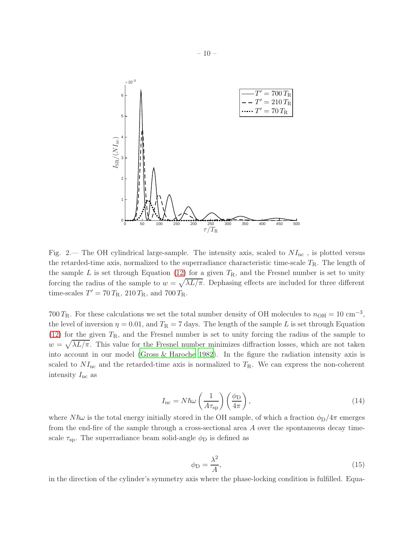

<span id="page-9-0"></span>Fig. 2.— The OH cylindrical large-sample. The intensity axis, scaled to  $NI_{nc}$ , is plotted versus the retarded-time axis, normalized to the superradiance characteristic time-scale  $T_{\rm R}$ . The length of the sample L is set through Equation [\(12\)](#page-8-2) for a given  $T_{\rm R}$ , and the Fresnel number is set to unity forcing the radius of the sample to  $w = \sqrt{\lambda L/\pi}$ . Dephasing effects are included for three different time-scales  $T' = 70 T_{\rm R}$ , 210 $T_{\rm R}$ , and 700 $T_{\rm R}$ .

700 T<sub>R</sub>. For these calculations we set the total number density of OH molecules to  $n_{\text{OH}} = 10 \text{ cm}^{-3}$ , the level of inversion  $\eta = 0.01$ , and  $T_R = 7$  days. The length of the sample L is set through Equation  $(12)$  for the given  $T_{\rm R}$ , and the Fresnel number is set to unity forcing the radius of the sample to  $w = \sqrt{\lambda L/\pi}$ . This value for the Fresnel number minimizes diffraction losses, which are not taken into account in our model [\(Gross & Haroche 1982\)](#page-17-7). In the figure the radiation intensity axis is scaled to  $NI_{nc}$  and the retarded-time axis is normalized to  $T_{R}$ . We can express the non-coherent intensity  $I_{\text{nc}}$  as

<span id="page-9-1"></span>
$$
I_{\rm nc} = N \hbar \omega \left(\frac{1}{A \tau_{\rm sp}}\right) \left(\frac{\phi_{\rm D}}{4\pi}\right),\tag{14}
$$

where  $N\hbar\omega$  is the total energy initially stored in the OH sample, of which a fraction  $\phi_D/4\pi$  emerges from the end-fire of the sample through a cross-sectional area A over the spontaneous decay timescale  $\tau_{\rm SD}$ . The superradiance beam solid-angle  $\phi_{\rm D}$  is defined as

<span id="page-9-2"></span>
$$
\phi_{\rm D} = \frac{\lambda^2}{A},\tag{15}
$$

in the direction of the cylinder's symmetry axis where the phase-locking condition is fulfilled. Equa-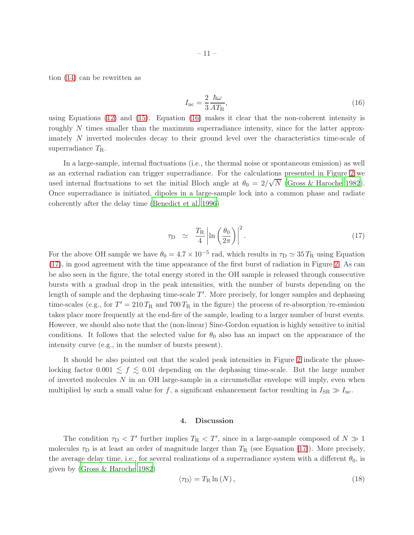tion [\(14\)](#page-9-1) can be rewritten as

<span id="page-10-1"></span>
$$
I_{\rm nc} = \frac{2}{3} \frac{\hbar \omega}{A T_{\rm R}},\tag{16}
$$

using Equations [\(12\)](#page-8-2) and [\(15\)](#page-9-2). Equation [\(16\)](#page-10-1) makes it clear that the non-coherent intensity is roughly  $N$  times smaller than the maximum superradiance intensity, since for the latter approximately N inverted molecules decay to their ground level over the characteristics time-scale of superradiance  $T_{\rm R}$ .

In a large-sample, internal fluctuations (i.e., the thermal noise or spontaneous emission) as well as an external radiation can trigger superradiance. For the calculations presented in Figure [2](#page-9-0) we used internal fluctuations to set the initial Bloch angle at  $\theta_0 = 2/\sqrt{N}$  [\(Gross & Haroche 1982\)](#page-17-7). Once superradiance is initiated, dipoles in a large-sample lock into a common phase and radiate coherently after the delay time [\(Benedict et al. 1996](#page-17-8))

<span id="page-10-2"></span>
$$
\tau_{\rm D} \simeq \frac{T_{\rm R}}{4} \left| \ln \left( \frac{\theta_0}{2\pi} \right) \right|^2. \tag{17}
$$

For the above OH sample we have  $\theta_0 = 4.7 \times 10^{-5}$  rad, which results in  $\tau_D \simeq 35 T_R$  using Equation [\(17\)](#page-10-2), in good agreement with the time appearance of the first burst of radiation in Figure [2.](#page-9-0) As can be also seen in the figure, the total energy stored in the OH sample is released through consecutive bursts with a gradual drop in the peak intensities, with the number of bursts depending on the length of sample and the dephasing time-scale  $T'$ . More precisely, for longer samples and dephasing time-scales (e.g., for  $T' = 210 T_{\rm R}$  and  $700 T_{\rm R}$  in the figure) the process of re-absorption/re-emission takes place more frequently at the end-fire of the sample, leading to a larger number of burst events. However, we should also note that the (non-linear) Sine-Gordon equation is highly sensitive to initial conditions. It follows that the selected value for  $\theta_0$  also has an impact on the appearance of the intensity curve (e.g., in the number of bursts present).

It should be also pointed out that the scaled peak intensities in Figure [2](#page-9-0) indicate the phaselocking factor 0.001  $\lesssim f \lesssim 0.01$  depending on the dephasing time-scale. But the large number of inverted molecules  $N$  in an OH large-sample in a circumstellar envelope will imply, even when multiplied by such a small value for f, a significant enhancement factor resulting in  $I_{SR} \gg I_{nc}$ .

## 4. Discussion

<span id="page-10-0"></span>The condition  $\tau_D < T'$  further implies  $T_R < T'$ , since in a large-sample composed of  $N \gg 1$ molecules  $\tau_D$  is at least an order of magnitude larger than  $T_R$  (see Equation [\[17\]](#page-10-2)). More precisely, the average delay time, i.e., for several realizations of a superradiance system with a different  $\theta_0$ , is given by [\(Gross & Haroche 1982](#page-17-7))

$$
\langle \tau_{\rm D} \rangle = T_{\rm R} \ln(N) \,, \tag{18}
$$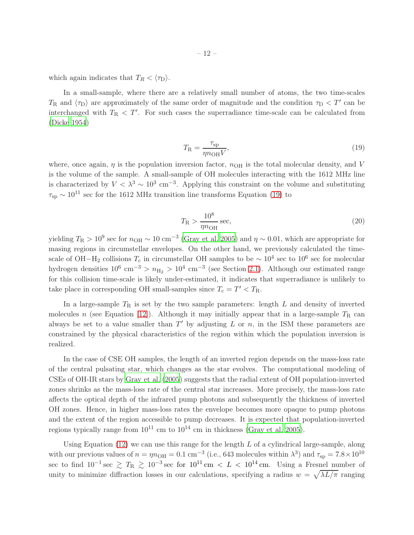which again indicates that  $T_R < \langle \tau_D \rangle$ .

In a small-sample, where there are a relatively small number of atoms, the two time-scales  $T_{\rm R}$  and  $\langle \tau_{\rm D} \rangle$  are approximately of the same order of magnitude and the condition  $\tau_{\rm D} < T'$  can be interchanged with  $T_R < T'$ . For such cases the superradiance time-scale can be calculated from [\(Dicke 1954](#page-17-6))

<span id="page-11-0"></span>
$$
T_{\rm R} = \frac{\tau_{\rm sp}}{\eta n_{\rm OH} V},\tag{19}
$$

where, once again,  $\eta$  is the population inversion factor,  $n_{\text{OH}}$  is the total molecular density, and V is the volume of the sample. A small-sample of OH molecules interacting with the 1612 MHz line is characterized by  $V < \lambda^3 \sim 10^3$  cm<sup>-3</sup>. Applying this constraint on the volume and substituting  $\tau_{\rm SD} \sim 10^{11}$  sec for the 1612 MHz transition line transforms Equation [\(19\)](#page-11-0) to

$$
T_{\rm R} > \frac{10^8}{\eta n_{\rm OH}} \sec,\tag{20}
$$

yielding  $T_R > 10^9$  sec for  $n_{\text{OH}} \sim 10 \text{ cm}^{-3}$  [\(Gray et al. 2005\)](#page-17-5) and  $\eta \sim 0.01$ , which are appropriate for masing regions in circumstellar envelopes. On the other hand, we previously calculated the timescale of OH–H<sub>2</sub> collisions  $T_c$  in circumstellar OH samples to be  $\sim 10^4$  sec to  $10^6$  sec for molecular hydrogen densities  $10^6 \text{ cm}^{-3} > n_{\text{H}_2} > 10^4 \text{ cm}^{-3}$  (see Section [2.1\)](#page-4-0). Although our estimated range for this collision time-scale is likely under-estimated, it indicates that superradiance is unlikely to take place in corresponding OH small-samples since  $T_c = T' < T_R$ .

In a large-sample  $T_{\rm R}$  is set by the two sample parameters: length  $L$  and density of inverted molecules n (see Equation [\[12\]](#page-8-2)). Although it may initially appear that in a large-sample  $T_R$  can always be set to a value smaller than  $T'$  by adjusting  $L$  or  $n$ , in the ISM these parameters are constrained by the physical characteristics of the region within which the population inversion is realized.

In the case of CSE OH samples, the length of an inverted region depends on the mass-loss rate of the central pulsating star, which changes as the star evolves. The computational modeling of CSEs of OH-IR stars by [Gray et al. \(2005\)](#page-17-5) suggests that the radial extent of OH population-inverted zones shrinks as the mass-loss rate of the central star increases. More precisely, the mass-loss rate affects the optical depth of the infrared pump photons and subsequently the thickness of inverted OH zones. Hence, in higher mass-loss rates the envelope becomes more opaque to pump photons and the extent of the region accessible to pump decreases. It is expected that population-inverted regions typically range from  $10^{11}$  cm to  $10^{14}$  cm in thickness [\(Gray et al. 2005\)](#page-17-5).

Using Equation  $(12)$  we can use this range for the length L of a cylindrical large-sample, along with our previous values of  $n = \eta n_{\text{OH}} = 0.1 \text{ cm}^{-3}$  (i.e., 643 molecules within  $\lambda^3$ ) and  $\tau_{\text{sp}} = 7.8 \times 10^{10}$ sec to find  $10^{-1}$  sec  $\gtrsim T_{\rm R} \gtrsim 10^{-3}$  sec for  $10^{11}$  cm  $\lt L \lt 10^{14}$  cm. Using a Fresnel number of unity to minimize diffraction losses in our calculations, specifying a radius  $w = \sqrt{\lambda L/\pi}$  ranging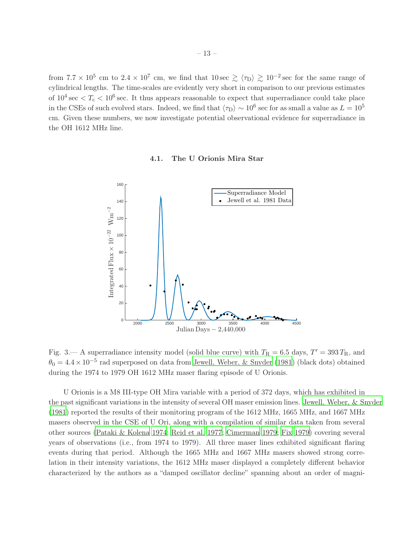from  $7.7 \times 10^5$  cm to  $2.4 \times 10^7$  cm, we find that  $10 \text{ sec } \ge \langle \tau_D \rangle \ge 10^{-2} \text{ sec}$  for the same range of cylindrical lengths. The time-scales are evidently very short in comparison to our previous estimates of  $10^4 \text{ sec} < T_c < 10^6 \text{ sec}$ . It thus appears reasonable to expect that superradiance could take place in the CSEs of such evolved stars. Indeed, we find that  $\langle \tau_D \rangle \sim 10^6$  sec for as small a value as  $L = 10^5$ cm. Given these numbers, we now investigate potential observational evidence for superradiance in the OH 1612 MHz line.

### 4.1. The U Orionis Mira Star

<span id="page-12-0"></span>

<span id="page-12-1"></span>Fig. 3.— A superradiance intensity model (solid blue curve) with  $T_R = 6.5$  days,  $T' = 393 T_R$ , and  $\theta_0 = 4.4 \times 10^{-5}$  rad superposed on data from [Jewell, Weber, & Snyder \(1981](#page-18-10)) (black dots) obtained during the 1974 to 1979 OH 1612 MHz maser flaring episode of U Orionis.

U Orionis is a M8 III-type OH Mira variable with a period of 372 days, which has exhibited in the past significant variations in the intensity of several OH maser emission lines. [Jewell, Weber, & Snyder](#page-18-10) [\(1981\)](#page-18-10) reported the results of their monitoring program of the 1612 MHz, 1665 MHz, and 1667 MHz masers observed in the CSE of U Ori, along with a compilation of similar data taken from several other sources [\(Pataki & Kolena 1974;](#page-18-20) [Reid et al. 1977](#page-18-21); [Cimerman 1979;](#page-17-13) [Fix 1979\)](#page-17-14) covering several years of observations (i.e., from 1974 to 1979). All three maser lines exhibited significant flaring events during that period. Although the 1665 MHz and 1667 MHz masers showed strong correlation in their intensity variations, the 1612 MHz maser displayed a completely different behavior characterized by the authors as a "damped oscillator decline" spanning about an order of magni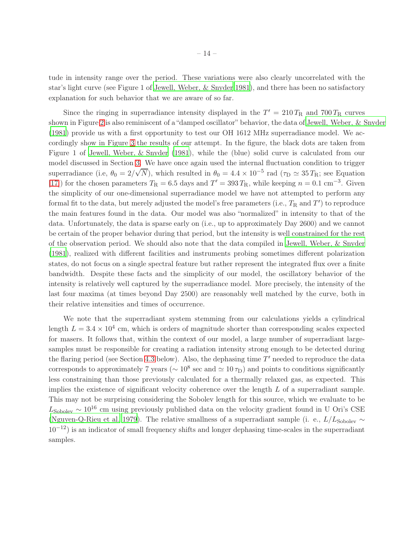tude in intensity range over the period. These variations were also clearly uncorrelated with the star's light curve (see Figure 1 of [Jewell, Weber, & Snyder 1981](#page-18-10)), and there has been no satisfactory explanation for such behavior that we are aware of so far.

Since the ringing in superradiance intensity displayed in the  $T' = 210 T_{\rm R}$  and  $700 T_{\rm R}$  curves shown in Figure [2](#page-9-0) is also reminiscent of a "damped oscillator" behavior, the data of [Jewell, Weber, & Snyder](#page-18-10) [\(1981\)](#page-18-10) provide us with a first opportunity to test our OH 1612 MHz superradiance model. We accordingly show in Figure [3](#page-12-1) the results of our attempt. In the figure, the black dots are taken from Figure 1 of [Jewell, Weber, & Snyder \(1981\)](#page-18-10), while the (blue) solid curve is calculated from our model discussed in Section [3.](#page-7-0) We have once again used the internal fluctuation condition to trigger superradiance (i.e,  $\theta_0 = 2/\sqrt{N}$ ), which resulted in  $\theta_0 = 4.4 \times 10^{-5}$  rad ( $\tau_{\rm D} \simeq 35 T_{\rm R}$ ; see Equation [\[17\]](#page-10-2)) for the chosen parameters  $T_R = 6.5$  days and  $T' = 393 T_R$ , while keeping  $n = 0.1$  cm<sup>-3</sup>. Given the simplicity of our one-dimensional superradiance model we have not attempted to perform any formal fit to the data, but merely adjusted the model's free parameters (i.e.,  $T_{\rm R}$  and  $T'$ ) to reproduce the main features found in the data. Our model was also "normalized" in intensity to that of the data. Unfortunately, the data is sparse early on (i.e., up to approximately Day 2600) and we cannot be certain of the proper behavior during that period, but the intensity is well constrained for the rest of the observation period. We should also note that the data compiled in [Jewell, Weber, & Snyder](#page-18-10) [\(1981\)](#page-18-10), realized with different facilities and instruments probing sometimes different polarization states, do not focus on a single spectral feature but rather represent the integrated flux over a finite bandwidth. Despite these facts and the simplicity of our model, the oscillatory behavior of the intensity is relatively well captured by the superradiance model. More precisely, the intensity of the last four maxima (at times beyond Day 2500) are reasonably well matched by the curve, both in their relative intensities and times of occurrence.

We note that the superradiant system stemming from our calculations yields a cylindrical length  $L = 3.4 \times 10^4$  cm, which is orders of magnitude shorter than corresponding scales expected for masers. It follows that, within the context of our model, a large number of superradiant largesamples must be responsible for creating a radiation intensity strong enough to be detected during the flaring period (see Section [4.3](#page-15-0) below). Also, the dephasing time  $T'$  needed to reproduce the data corresponds to approximately 7 years ( $\sim 10^8$  sec and  $\simeq 10 \tau_D$ ) and points to conditions significantly less constraining than those previously calculated for a thermally relaxed gas, as expected. This implies the existence of significant velocity coherence over the length  $L$  of a superradiant sample. This may not be surprising considering the Sobolev length for this source, which we evaluate to be  $L_{\rm Sobolev} \sim 10^{16}$  cm using previously published data on the velocity gradient found in U Ori's CSE [\(Nguyen-Q-Rieu et al. 1979\)](#page-18-22). The relative smallness of a superradiant sample (i. e.,  $L/L_{\text{Sobolev}} \sim$  $10^{-12}$ ) is an indicator of small frequency shifts and longer dephasing time-scales in the superradiant samples.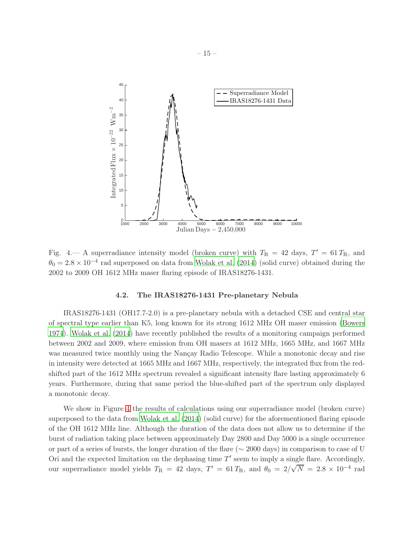

<span id="page-14-0"></span>Fig. 4.— A superradiance intensity model (broken curve) with  $T_R = 42$  days,  $T' = 61 T_R$ , and  $\theta_0 = 2.8 \times 10^{-4}$  rad superposed on data from [Wolak et al. \(2014](#page-19-0)) (solid curve) obtained during the 2002 to 2009 OH 1612 MHz maser flaring episode of IRAS18276-1431.

# 4.2. The IRAS18276-1431 Pre-planetary Nebula

IRAS18276-1431 (OH17.7-2.0) is a pre-planetary nebula with a detached CSE and central star of spectral type earlier than K5, long known for its strong 1612 MHz OH maser emission [\(Bowers](#page-17-15) [1974\)](#page-17-15). [Wolak et al. \(2014](#page-19-0)) have recently published the results of a monitoring campaign performed between 2002 and 2009, where emission from OH masers at 1612 MHz, 1665 MHz, and 1667 MHz was measured twice monthly using the Nançay Radio Telescope. While a monotonic decay and rise in intensity were detected at 1665 MHz and 1667 MHz, respectively, the integrated flux from the redshifted part of the 1612 MHz spectrum revealed a significant intensity flare lasting approximately 6 years. Furthermore, during that same period the blue-shifted part of the spectrum only displayed a monotonic decay.

We show in Figure [4](#page-14-0) the results of calculations using our superradiance model (broken curve) superposed to the data from [Wolak et al. \(2014\)](#page-19-0) (solid curve) for the aforementioned flaring episode of the OH 1612 MHz line. Although the duration of the data does not allow us to determine if the burst of radiation taking place between approximately Day 2800 and Day 5000 is a single occurrence or part of a series of bursts, the longer duration of the flare (∼ 2000 days) in comparison to case of U Ori and the expected limitation on the dephasing time  $T'$  seem to imply a single flare. Accordingly, our superradiance model yields  $T_R = 42$  days,  $T' = 61 T_R$ , and  $\theta_0 = 2/\sqrt{N} = 2.8 \times 10^{-4}$  rad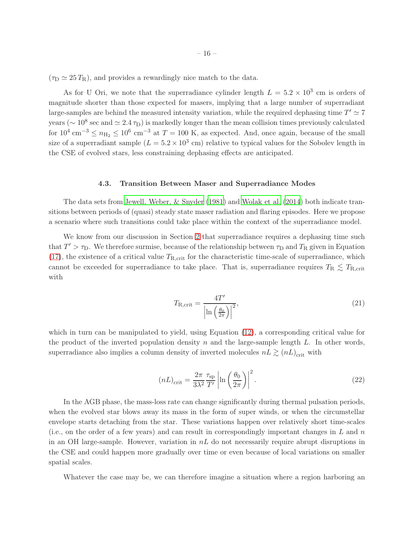$(\tau_D \simeq 25 T_R)$ , and provides a rewardingly nice match to the data.

As for U Ori, we note that the superradiance cylinder length  $L = 5.2 \times 10^3$  cm is orders of magnitude shorter than those expected for masers, implying that a large number of superradiant large-samples are behind the measured intensity variation, while the required dephasing time  $T' \simeq 7$ years ( $\sim 10^8$  sec and  $\simeq 2.4 \tau_D$ ) is markedly longer than the mean collision times previously calculated for  $10^4 \text{ cm}^{-3} \le n_{\text{H}_2} \le 10^6 \text{ cm}^{-3}$  at  $T = 100 \text{ K}$ , as expected. And, once again, because of the small size of a superradiant sample  $(L = 5.2 \times 10^3 \text{ cm})$  relative to typical values for the Sobolev length in the CSE of evolved stars, less constraining dephasing effects are anticipated.

### 4.3. Transition Between Maser and Superradiance Modes

<span id="page-15-0"></span>The data sets from [Jewell, Weber, & Snyder \(1981](#page-18-10)) and [Wolak et](#page-19-0) al. [\(2014](#page-19-0)) both indicate transitions between periods of (quasi) steady state maser radiation and flaring episodes. Here we propose a scenario where such transitions could take place within the context of the superradiance model.

We know from our discussion in Section [2](#page-3-0) that superradiance requires a dephasing time such that  $T' > \tau_D$ . We therefore surmise, because of the relationship between  $\tau_D$  and  $T_R$  given in Equation [\(17\)](#page-10-2), the existence of a critical value  $T_{\text{R,crit}}$  for the characteristic time-scale of superradiance, which cannot be exceeded for superradiance to take place. That is, superradiance requires  $T_R \lesssim T_{R,\text{crit}}$ with

$$
T_{\rm R,crit} = \frac{4T'}{\left|\ln\left(\frac{\theta_0}{2\pi}\right)\right|^2},\tag{21}
$$

which in turn can be manipulated to yield, using Equation [\(12\)](#page-8-2), a corresponding critical value for the product of the inverted population density n and the large-sample length  $L$ . In other words, superradiance also implies a column density of inverted molecules  $nL \gtrsim (nL)_{\text{crit}}$  with

<span id="page-15-1"></span>
$$
(nL)_{\text{crit}} = \frac{2\pi}{3\lambda^2} \frac{\tau_{\text{sp}}}{T'} \left| \ln \left( \frac{\theta_0}{2\pi} \right) \right|^2.
$$
 (22)

In the AGB phase, the mass-loss rate can change significantly during thermal pulsation periods, when the evolved star blows away its mass in the form of super winds, or when the circumstellar envelope starts detaching from the star. These variations happen over relatively short time-scales (i.e., on the order of a few years) and can result in correspondingly important changes in  $L$  and  $n$ in an OH large-sample. However, variation in  $nL$  do not necessarily require abrupt disruptions in the CSE and could happen more gradually over time or even because of local variations on smaller spatial scales.

Whatever the case may be, we can therefore imagine a situation where a region harboring an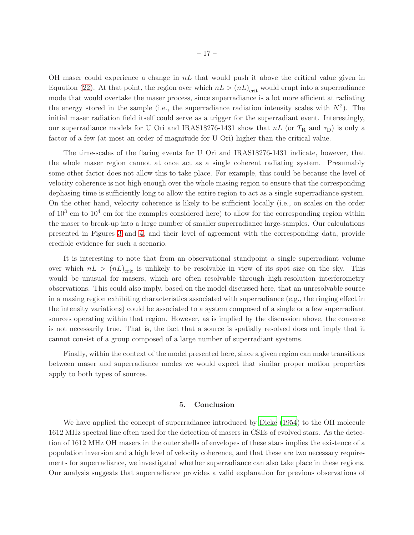OH maser could experience a change in  $nL$  that would push it above the critical value given in Equation [\(22\)](#page-15-1). At that point, the region over which  $nL > (nL)_{\text{crit}}$  would erupt into a superradiance mode that would overtake the maser process, since superradiance is a lot more efficient at radiating the energy stored in the sample (i.e., the superradiance radiation intensity scales with  $N^2$ ). The initial maser radiation field itself could serve as a trigger for the superradiant event. Interestingly, our superradiance models for U Ori and IRAS18276-1431 show that  $nL$  (or  $T_R$  and  $\tau_D$ ) is only a factor of a few (at most an order of magnitude for U Ori) higher than the critical value.

The time-scales of the flaring events for U Ori and IRAS18276-1431 indicate, however, that the whole maser region cannot at once act as a single coherent radiating system. Presumably some other factor does not allow this to take place. For example, this could be because the level of velocity coherence is not high enough over the whole masing region to ensure that the corresponding dephasing time is sufficiently long to allow the entire region to act as a single superradiance system. On the other hand, velocity coherence is likely to be sufficient locally (i.e., on scales on the order of  $10^3$  cm to  $10^4$  cm for the examples considered here) to allow for the corresponding region within the maser to break-up into a large number of smaller superradiance large-samples. Our calculations presented in Figures [3](#page-12-1) and [4,](#page-14-0) and their level of agreement with the corresponding data, provide credible evidence for such a scenario.

It is interesting to note that from an observational standpoint a single superradiant volume over which  $nL > (nL)_{\text{crit}}$  is unlikely to be resolvable in view of its spot size on the sky. This would be unusual for masers, which are often resolvable through high-resolution interferometry observations. This could also imply, based on the model discussed here, that an unresolvable source in a masing region exhibiting characteristics associated with superradiance (e.g., the ringing effect in the intensity variations) could be associated to a system composed of a single or a few superradiant sources operating within that region. However, as is implied by the discussion above, the converse is not necessarily true. That is, the fact that a source is spatially resolved does not imply that it cannot consist of a group composed of a large number of superradiant systems.

Finally, within the context of the model presented here, since a given region can make transitions between maser and superradiance modes we would expect that similar proper motion properties apply to both types of sources.

## 5. Conclusion

<span id="page-16-0"></span>We have applied the concept of superradiance introduced by [Dicke \(1954](#page-17-6)) to the OH molecule 1612 MHz spectral line often used for the detection of masers in CSEs of evolved stars. As the detection of 1612 MHz OH masers in the outer shells of envelopes of these stars implies the existence of a population inversion and a high level of velocity coherence, and that these are two necessary requirements for superradiance, we investigated whether superradiance can also take place in these regions. Our analysis suggests that superradiance provides a valid explanation for previous observations of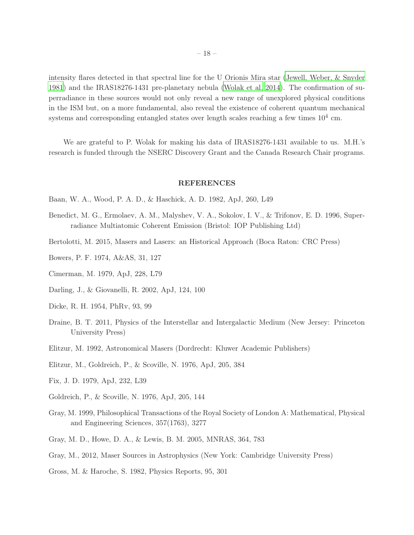intensity flares detected in that spectral line for the U Orionis Mira star [\(Jewell, Weber, & Snyder](#page-18-10) [1981\)](#page-18-10) and the IRAS18276-1431 pre-planetary nebula [\(Wolak et al. 2014](#page-19-0)). The confirmation of superradiance in these sources would not only reveal a new range of unexplored physical conditions in the ISM but, on a more fundamental, also reveal the existence of coherent quantum mechanical systems and corresponding entangled states over length scales reaching a few times  $10^4$  cm.

We are grateful to P. Wolak for making his data of IRAS18276-1431 available to us. M.H.'s research is funded through the NSERC Discovery Grant and the Canada Research Chair programs.

## REFERENCES

- <span id="page-17-3"></span>Baan, W. A., Wood, P. A. D., & Haschick, A. D. 1982, ApJ, 260, L49
- <span id="page-17-8"></span>Benedict, M. G., Ermolaev, A. M., Malyshev, V. A., Sokolov, I. V., & Trifonov, E. D. 1996, Superradiance Multiatomic Coherent Emission (Bristol: IOP Publishing Ltd)
- <span id="page-17-0"></span>Bertolotti, M. 2015, Masers and Lasers: an Historical Approach (Boca Raton: CRC Press)
- <span id="page-17-15"></span>Bowers, P. F. 1974, A&AS, 31, 127
- <span id="page-17-13"></span>Cimerman, M. 1979, ApJ, 228, L79
- <span id="page-17-4"></span>Darling, J., & Giovanelli, R. 2002, ApJ, 124, 100
- <span id="page-17-6"></span>Dicke, R. H. 1954, PhRv, 93, 99
- <span id="page-17-11"></span>Draine, B. T. 2011, Physics of the Interstellar and Intergalactic Medium (New Jersey: Princeton University Press)
- <span id="page-17-1"></span>Elitzur, M. 1992, Astronomical Masers (Dordrecht: Kluwer Academic Publishers)
- <span id="page-17-10"></span>Elitzur, M., Goldreich, P., & Scoville, N. 1976, ApJ, 205, 384
- <span id="page-17-14"></span>Fix, J. D. 1979, ApJ, 232, L39
- <span id="page-17-12"></span>Goldreich, P., & Scoville, N. 1976, ApJ, 205, 144
- <span id="page-17-9"></span>Gray, M. 1999, Philosophical Transactions of the Royal Society of London A: Mathematical, Physical and Engineering Sciences, 357(1763), 3277
- <span id="page-17-5"></span>Gray, M. D., Howe, D. A., & Lewis, B. M. 2005, MNRAS, 364, 783
- <span id="page-17-2"></span>Gray, M., 2012, Maser Sources in Astrophysics (New York: Cambridge University Press)
- <span id="page-17-7"></span>Gross, M. & Haroche, S. 1982, Physics Reports, 95, 301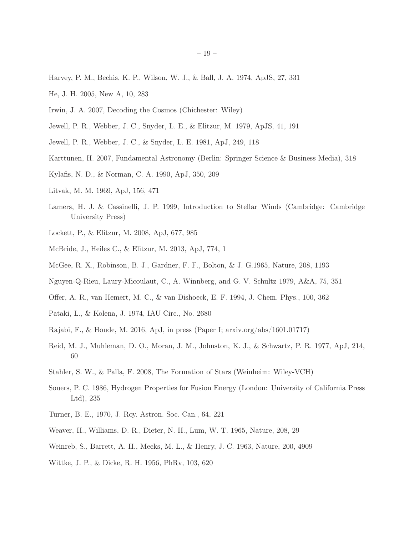- <span id="page-18-14"></span>Harvey, P. M., Bechis, K. P., Wilson, W. J., & Ball, J. A. 1974, ApJS, 27, 331
- <span id="page-18-6"></span>He, J. H. 2005, New A, 10, 283
- <span id="page-18-18"></span>Irwin, J. A. 2007, Decoding the Cosmos (Chichester: Wiley)
- <span id="page-18-13"></span>Jewell, P. R., Webber, J. C., Snyder, L. E., & Elitzur, M. 1979, ApJS, 41, 191
- <span id="page-18-10"></span>Jewell, P. R., Webber, J. C., & Snyder, L. E. 1981, ApJ, 249, 118
- <span id="page-18-16"></span>Karttunen, H. 2007, Fundamental Astronomy (Berlin: Springer Science & Business Media), 318
- <span id="page-18-7"></span>Kylafis, N. D., & Norman, C. A. 1990, ApJ, 350, 209
- <span id="page-18-12"></span>Litvak, M. M. 1969, ApJ, 156, 471
- <span id="page-18-15"></span>Lamers, H. J. & Cassinelli, J. P. 1999, Introduction to Stellar Winds (Cambridge: Cambridge University Press)
- <span id="page-18-5"></span>Lockett, P., & Elitzur, M. 2008, ApJ, 677, 985
- <span id="page-18-8"></span>McBride, J., Heiles C., & Elitzur, M. 2013, ApJ, 774, 1
- <span id="page-18-2"></span>McGee, R. X., Robinson, B. J., Gardner, F. F., Bolton, & J. G.1965, Nature, 208, 1193
- <span id="page-18-22"></span>Nguyen-Q-Rieu, Laury-Micoulaut, C., A. Winnberg, and G. V. Schultz 1979, A&A, 75, 351
- <span id="page-18-17"></span>Offer, A. R., van Hemert, M. C., & van Dishoeck, E. F. 1994, J. Chem. Phys., 100, 362
- <span id="page-18-20"></span>Pataki, L., & Kolena, J. 1974, IAU Circ., No. 2680
- <span id="page-18-9"></span>Rajabi, F., & Houde, M. 2016, ApJ, in press (Paper I; arxiv.org/abs/1601.01717)
- <span id="page-18-21"></span>Reid, M. J., Muhleman, D. O., Moran, J. M., Johnston, K. J., & Schwartz, P. R. 1977, ApJ, 214, 60
- <span id="page-18-1"></span>Stahler, S. W., & Palla, F. 2008, The Formation of Stars (Weinheim: Wiley-VCH)
- <span id="page-18-19"></span>Souers, P. C. 1986, Hydrogen Properties for Fusion Energy (London: University of California Press Ltd), 235
- <span id="page-18-4"></span>Turner, B. E., 1970, J. Roy. Astron. Soc. Can., 64, 221
- <span id="page-18-3"></span>Weaver, H., Williams, D. R., Dieter, N. H., Lum, W. T. 1965, Nature, 208, 29
- <span id="page-18-0"></span>Weinreb, S., Barrett, A. H., Meeks, M. L., & Henry, J. C. 1963, Nature, 200, 4909
- <span id="page-18-11"></span>Wittke, J. P., & Dicke, R. H. 1956, PhRv, 103, 620